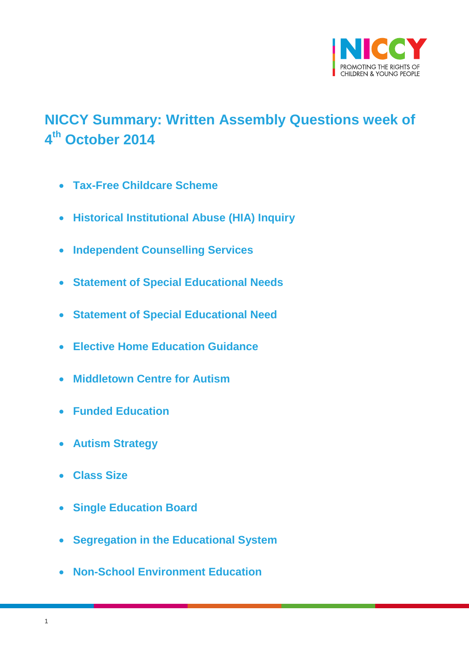

# <span id="page-0-0"></span>**NICCY Summary: Written Assembly Questions week of 4 th October 2014**

- **[Tax-Free Childcare Scheme](#page-2-0)**
- **[Historical Institutional Abuse \(HIA\) Inquiry](#page-2-1)**
- **[Independent Counselling Services](#page-4-0)**
- **[Statement of Special Educational Needs](#page-4-1)**
- **[Statement of Special Educational Need](#page-5-0)**
- **[Elective Home Education Guidance](#page-6-0)**
- **[Middletown Centre for Autism](#page-7-0)**
- **[Funded Education](#page-8-0)**
- **[Autism Strategy](#page-6-0)**
- **[Class Size](#page-10-0)**
- **[Single Education Board](#page-11-0)**
- **[Segregation in the Educational System](#page-11-1)**
- **[Non-School Environment Education](#page-12-0)**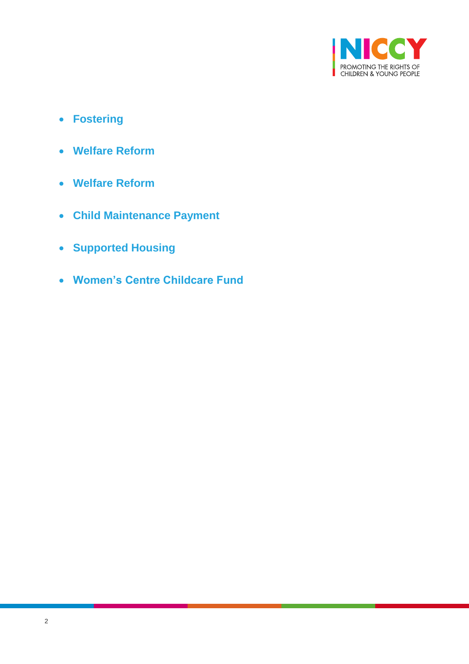

- **[Fostering](#page-13-0)**
- **[Welfare Reform](#page-15-0)**
- **[Welfare Reform](#page-16-0)**
- **[Child Maintenance Payment](#page-17-0)**
- **[Supported Housing](#page-17-1)**
- **[Women's Centre Childcare Fund](#page-17-2)**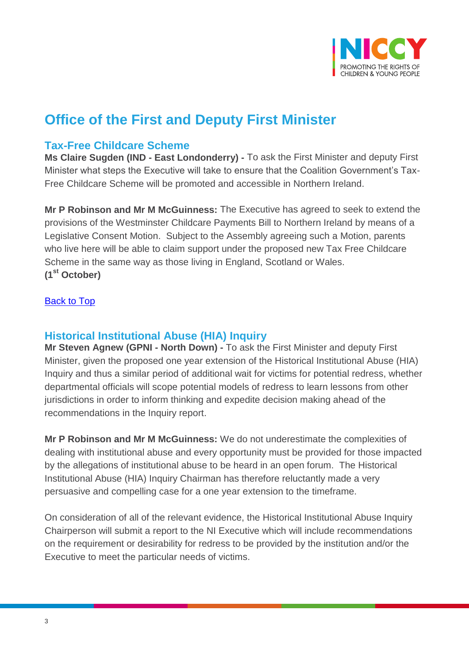

## **Office of the First and Deputy First Minister**

### <span id="page-2-0"></span>**Tax-Free Childcare Scheme**

**Ms Claire Sugden (IND - East Londonderry) -** To ask the First Minister and deputy First Minister what steps the Executive will take to ensure that the Coalition Government's Tax-Free Childcare Scheme will be promoted and accessible in Northern Ireland.

**Mr P Robinson and Mr M McGuinness:** The Executive has agreed to seek to extend the provisions of the Westminster Childcare Payments Bill to Northern Ireland by means of a Legislative Consent Motion. Subject to the Assembly agreeing such a Motion, parents who live here will be able to claim support under the proposed new Tax Free Childcare Scheme in the same way as those living in England, Scotland or Wales. **(1st October)**

[Back to Top](#page-0-0)

### <span id="page-2-1"></span>**Historical Institutional Abuse (HIA) Inquiry**

**Mr Steven Agnew (GPNI - North Down) -** To ask the First Minister and deputy First Minister, given the proposed one year extension of the Historical Institutional Abuse (HIA) Inquiry and thus a similar period of additional wait for victims for potential redress, whether departmental officials will scope potential models of redress to learn lessons from other jurisdictions in order to inform thinking and expedite decision making ahead of the recommendations in the Inquiry report.

**Mr P Robinson and Mr M McGuinness:** We do not underestimate the complexities of dealing with institutional abuse and every opportunity must be provided for those impacted by the allegations of institutional abuse to be heard in an open forum. The Historical Institutional Abuse (HIA) Inquiry Chairman has therefore reluctantly made a very persuasive and compelling case for a one year extension to the timeframe.

On consideration of all of the relevant evidence, the Historical Institutional Abuse Inquiry Chairperson will submit a report to the NI Executive which will include recommendations on the requirement or desirability for redress to be provided by the institution and/or the Executive to meet the particular needs of victims.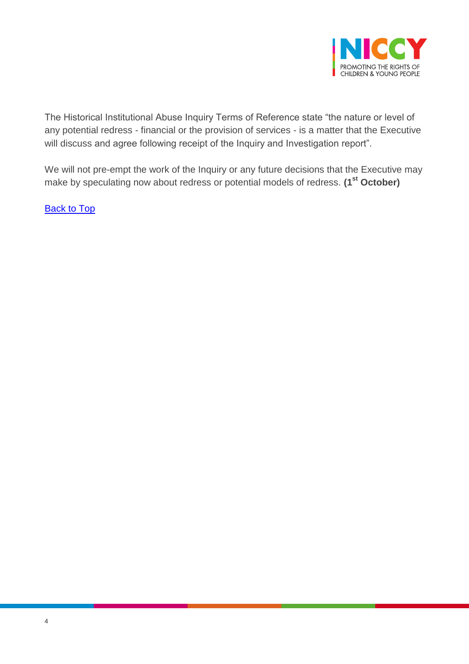

The Historical Institutional Abuse Inquiry Terms of Reference state "the nature or level of any potential redress - financial or the provision of services - is a matter that the Executive will discuss and agree following receipt of the Inquiry and Investigation report".

We will not pre-empt the work of the Inquiry or any future decisions that the Executive may make by speculating now about redress or potential models of redress. **(1st October)**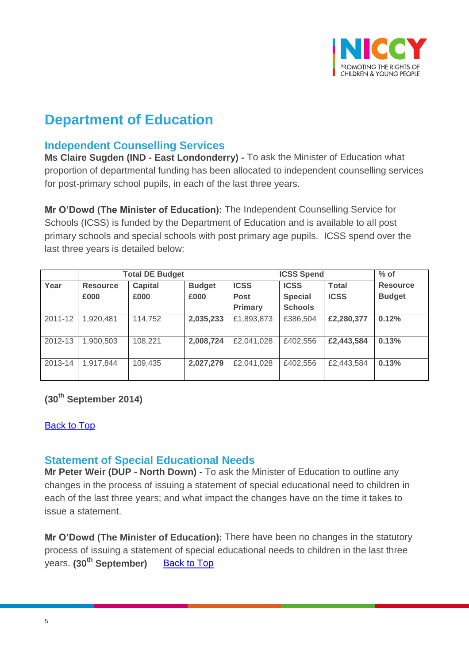

## **Department of Education**

## <span id="page-4-0"></span>**Independent Counselling Services**

**Ms Claire Sugden (IND - East Londonderry) -** To ask the Minister of Education what proportion of departmental funding has been allocated to independent counselling services for post-primary school pupils, in each of the last three years.

**Mr O'Dowd (The Minister of Education):** The Independent Counselling Service for Schools (ICSS) is funded by the Department of Education and is available to all post primary schools and special schools with post primary age pupils. ICSS spend over the last three years is detailed below:

|         | <b>Total DE Budget</b> |                |               | <b>ICSS Spend</b> |                |              | $%$ of          |
|---------|------------------------|----------------|---------------|-------------------|----------------|--------------|-----------------|
| Year    | <b>Resource</b>        | <b>Capital</b> | <b>Budget</b> | <b>ICSS</b>       | <b>ICSS</b>    | <b>Total</b> | <b>Resource</b> |
|         | £000                   | £000           | £000          | <b>Post</b>       | <b>Special</b> | <b>ICSS</b>  | <b>Budget</b>   |
|         |                        |                |               | Primary           | <b>Schools</b> |              |                 |
| 2011-12 | 1,920,481              | 114,752        | 2,035,233     | £1,893,873        | £386,504       | £2,280,377   | 0.12%           |
| 2012-13 | 1,900,503              | 108,221        | 2,008,724     | £2,041,028        | £402,556       | £2,443,584   | 0.13%           |
| 2013-14 | 1,917,844              | 109,435        | 2,027,279     | £2,041,028        | £402,556       | £2,443,584   | 0.13%           |

#### **(30th September 2014)**

#### **[Back to Top](#page-0-0)**

#### <span id="page-4-1"></span>**Statement of Special Educational Needs**

**Mr Peter Weir (DUP - North Down) -** To ask the Minister of Education to outline any changes in the process of issuing a statement of special educational need to children in each of the last three years; and what impact the changes have on the time it takes to issue a statement.

**Mr O'Dowd (The Minister of Education):** There have been no changes in the statutory process of issuing a statement of special educational needs to children in the last three years. **(30th September)** [Back to Top](#page-0-0)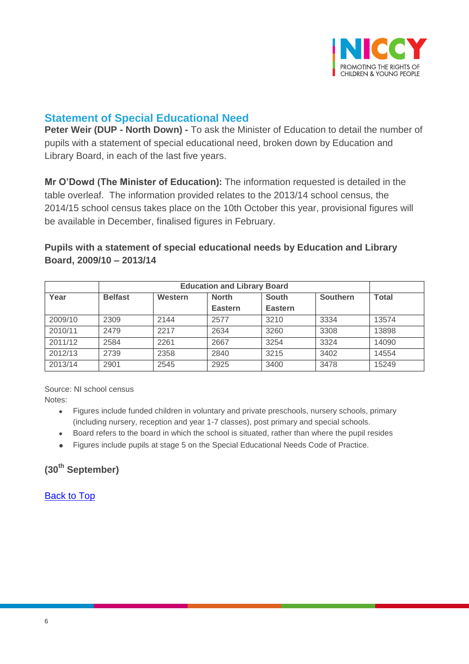

## <span id="page-5-0"></span>**Statement of Special Educational Need**

**Peter Weir (DUP - North Down) -** To ask the Minister of Education to detail the number of pupils with a statement of special educational need, broken down by Education and Library Board, in each of the last five years.

**Mr O'Dowd (The Minister of Education):** The information requested is detailed in the table overleaf. The information provided relates to the 2013/14 school census, the 2014/15 school census takes place on the 10th October this year, provisional figures will be available in December, finalised figures in February.

#### **Pupils with a statement of special educational needs by Education and Library Board, 2009/10 – 2013/14**

| Year    | <b>Belfast</b> | Western | <b>North</b>   | <b>South</b>   | <b>Southern</b> | <b>Total</b> |
|---------|----------------|---------|----------------|----------------|-----------------|--------------|
|         |                |         | <b>Eastern</b> | <b>Eastern</b> |                 |              |
| 2009/10 | 2309           | 2144    | 2577           | 3210           | 3334            | 13574        |
| 2010/11 | 2479           | 2217    | 2634           | 3260           | 3308            | 13898        |
| 2011/12 | 2584           | 2261    | 2667           | 3254           | 3324            | 14090        |
| 2012/13 | 2739           | 2358    | 2840           | 3215           | 3402            | 14554        |
| 2013/14 | 2901           | 2545    | 2925           | 3400           | 3478            | 15249        |

Source: NI school census

- Notes:
	- Figures include funded children in voluntary and private preschools, nursery schools, primary (including nursery, reception and year 1-7 classes), post primary and special schools.
	- Board refers to the board in which the school is situated, rather than where the pupil resides
	- Figures include pupils at stage 5 on the Special Educational Needs Code of Practice.

**(30th September)**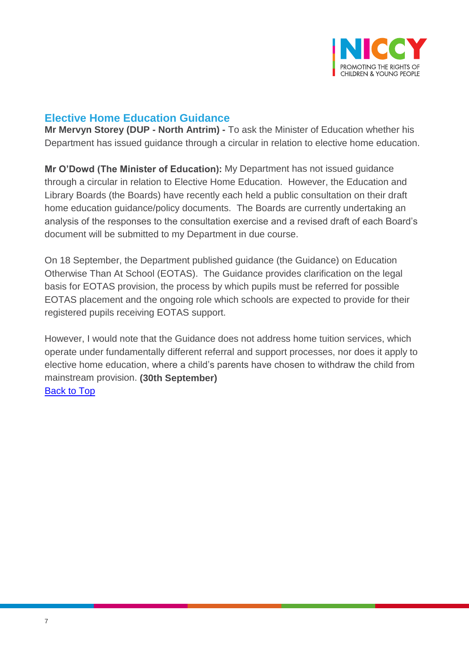

## <span id="page-6-0"></span>**Elective Home Education Guidance**

**Mr Mervyn Storey (DUP - North Antrim) -** To ask the Minister of Education whether his Department has issued guidance through a circular in relation to elective home education.

**Mr O'Dowd (The Minister of Education):** My Department has not issued guidance through a circular in relation to Elective Home Education. However, the Education and Library Boards (the Boards) have recently each held a public consultation on their draft home education guidance/policy documents. The Boards are currently undertaking an analysis of the responses to the consultation exercise and a revised draft of each Board's document will be submitted to my Department in due course.

On 18 September, the Department published guidance (the Guidance) on Education Otherwise Than At School (EOTAS). The Guidance provides clarification on the legal basis for EOTAS provision, the process by which pupils must be referred for possible EOTAS placement and the ongoing role which schools are expected to provide for their registered pupils receiving EOTAS support.

However, I would note that the Guidance does not address home tuition services, which operate under fundamentally different referral and support processes, nor does it apply to elective home education, where a child's parents have chosen to withdraw the child from mainstream provision. **(30th September)** [Back to Top](#page-0-0)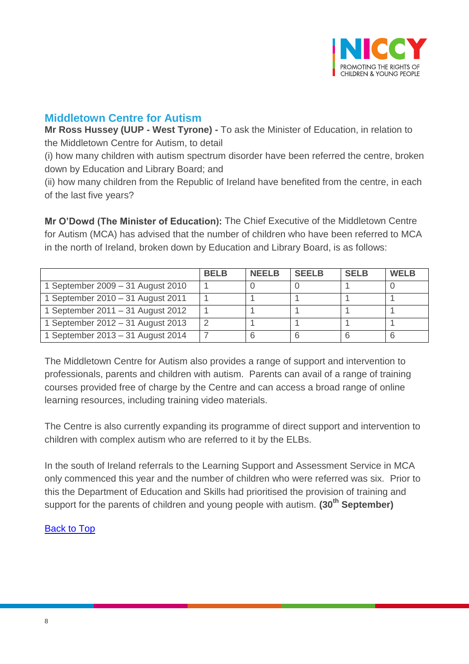

## <span id="page-7-0"></span>**Middletown Centre for Autism**

**Mr Ross Hussey (UUP - West Tyrone) -** To ask the Minister of Education, in relation to the Middletown Centre for Autism, to detail

(i) how many children with autism spectrum disorder have been referred the centre, broken down by Education and Library Board; and

(ii) how many children from the Republic of Ireland have benefited from the centre, in each of the last five years?

**Mr O'Dowd (The Minister of Education):** The Chief Executive of the Middletown Centre for Autism (MCA) has advised that the number of children who have been referred to MCA in the north of Ireland, broken down by Education and Library Board, is as follows:

|                                   | <b>BELB</b> | <b>NFFIR</b> | <b>SEELB</b> | <b>SELB</b> | <b>WELB</b> |
|-----------------------------------|-------------|--------------|--------------|-------------|-------------|
| 1 September 2009 - 31 August 2010 |             |              |              |             |             |
| 1 September 2010 - 31 August 2011 |             |              |              |             |             |
| 1 September 2011 – 31 August 2012 |             |              |              |             |             |
| 1 September 2012 – 31 August 2013 |             |              |              |             |             |
| 1 September 2013 - 31 August 2014 |             |              |              |             |             |

The Middletown Centre for Autism also provides a range of support and intervention to professionals, parents and children with autism. Parents can avail of a range of training courses provided free of charge by the Centre and can access a broad range of online learning resources, including training video materials.

The Centre is also currently expanding its programme of direct support and intervention to children with complex autism who are referred to it by the ELBs.

In the south of Ireland referrals to the Learning Support and Assessment Service in MCA only commenced this year and the number of children who were referred was six. Prior to this the Department of Education and Skills had prioritised the provision of training and support for the parents of children and young people with autism. **(30th September)**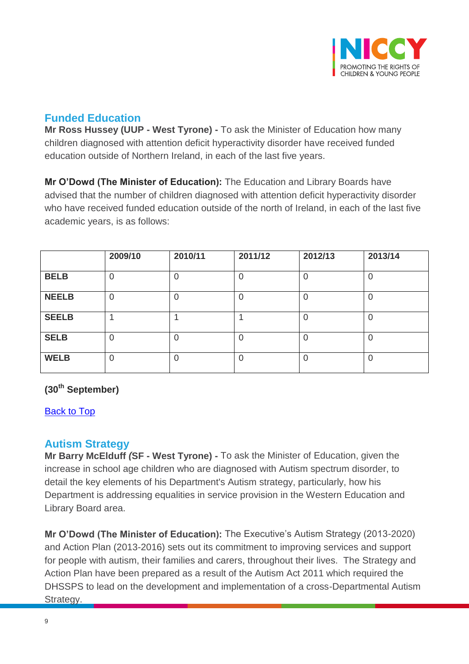

## <span id="page-8-0"></span>**Funded Education**

**Mr Ross Hussey (UUP - West Tyrone) -** To ask the Minister of Education how many children diagnosed with attention deficit hyperactivity disorder have received funded education outside of Northern Ireland, in each of the last five years.

**Mr O'Dowd (The Minister of Education):** The Education and Library Boards have advised that the number of children diagnosed with attention deficit hyperactivity disorder who have received funded education outside of the north of Ireland, in each of the last five academic years, is as follows:

|              | 2009/10        | 2010/11        | 2011/12 | 2012/13  | 2013/14        |
|--------------|----------------|----------------|---------|----------|----------------|
| <b>BELB</b>  | $\mathbf 0$    | $\overline{0}$ | 0       | 0        | $\overline{0}$ |
| <b>NEELB</b> | 0              | $\overline{0}$ | 0       | 0        | $\overline{0}$ |
| <b>SEELB</b> |                |                |         | 0        | $\overline{0}$ |
| <b>SELB</b>  | $\overline{0}$ | $\Omega$       | 0       | $\Omega$ | $\Omega$       |
| <b>WELB</b>  | $\overline{0}$ | $\overline{0}$ | 0       | 0        | $\overline{0}$ |

### **(30th September)**

[Back to Top](#page-0-0)

#### **Autism Strategy**

**Mr Barry McElduff** *(***SF - West Tyrone) -** To ask the Minister of Education, given the increase in school age children who are diagnosed with Autism spectrum disorder, to detail the key elements of his Department's Autism strategy, particularly, how his Department is addressing equalities in service provision in the Western Education and Library Board area.

**Mr O'Dowd (The Minister of Education):** The Executive's Autism Strategy (2013-2020) and Action Plan (2013-2016) sets out its commitment to improving services and support for people with autism, their families and carers, throughout their lives. The Strategy and Action Plan have been prepared as a result of the Autism Act 2011 which required the DHSSPS to lead on the development and implementation of a cross-Departmental Autism Strategy.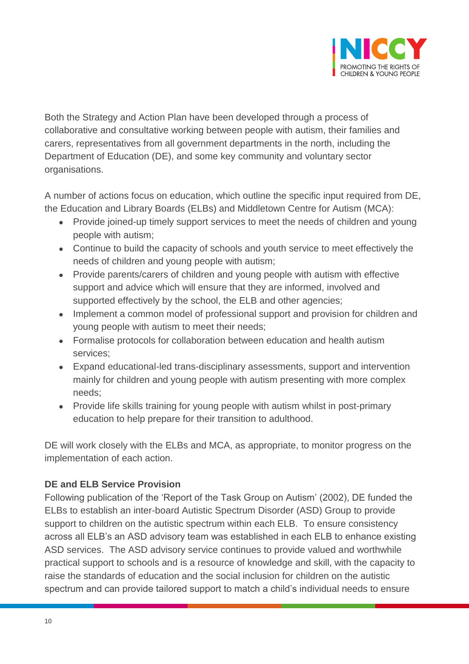

Both the Strategy and Action Plan have been developed through a process of collaborative and consultative working between people with autism, their families and carers, representatives from all government departments in the north, including the Department of Education (DE), and some key community and voluntary sector organisations.

A number of actions focus on education, which outline the specific input required from DE, the Education and Library Boards (ELBs) and Middletown Centre for Autism (MCA):

- Provide joined-up timely support services to meet the needs of children and young people with autism;
- Continue to build the capacity of schools and youth service to meet effectively the needs of children and young people with autism;
- Provide parents/carers of children and young people with autism with effective support and advice which will ensure that they are informed, involved and supported effectively by the school, the ELB and other agencies;
- Implement a common model of professional support and provision for children and young people with autism to meet their needs;
- Formalise protocols for collaboration between education and health autism services;
- Expand educational-led trans-disciplinary assessments, support and intervention mainly for children and young people with autism presenting with more complex needs;
- Provide life skills training for young people with autism whilst in post-primary education to help prepare for their transition to adulthood.

DE will work closely with the ELBs and MCA, as appropriate, to monitor progress on the implementation of each action.

#### **DE and ELB Service Provision**

Following publication of the 'Report of the Task Group on Autism' (2002), DE funded the ELBs to establish an inter-board Autistic Spectrum Disorder (ASD) Group to provide support to children on the autistic spectrum within each ELB. To ensure consistency across all ELB's an ASD advisory team was established in each ELB to enhance existing ASD services. The ASD advisory service continues to provide valued and worthwhile practical support to schools and is a resource of knowledge and skill, with the capacity to raise the standards of education and the social inclusion for children on the autistic spectrum and can provide tailored support to match a child's individual needs to ensure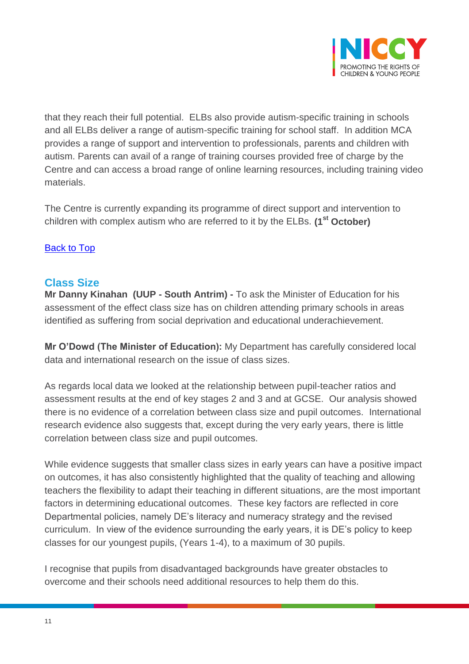

that they reach their full potential. ELBs also provide autism-specific training in schools and all ELBs deliver a range of autism-specific training for school staff. In addition MCA provides a range of support and intervention to professionals, parents and children with autism. Parents can avail of a range of training courses provided free of charge by the Centre and can access a broad range of online learning resources, including training video materials.

The Centre is currently expanding its programme of direct support and intervention to children with complex autism who are referred to it by the ELBs. **(1st October)**

#### [Back to Top](#page-0-0)

#### <span id="page-10-0"></span>**Class Size**

**Mr Danny Kinahan (UUP - South Antrim) -** To ask the Minister of Education for his assessment of the effect class size has on children attending primary schools in areas identified as suffering from social deprivation and educational underachievement.

**Mr O'Dowd (The Minister of Education):** My Department has carefully considered local data and international research on the issue of class sizes.

As regards local data we looked at the relationship between pupil-teacher ratios and assessment results at the end of key stages 2 and 3 and at GCSE. Our analysis showed there is no evidence of a correlation between class size and pupil outcomes. International research evidence also suggests that, except during the very early years, there is little correlation between class size and pupil outcomes.

While evidence suggests that smaller class sizes in early years can have a positive impact on outcomes, it has also consistently highlighted that the quality of teaching and allowing teachers the flexibility to adapt their teaching in different situations, are the most important factors in determining educational outcomes. These key factors are reflected in core Departmental policies, namely DE's literacy and numeracy strategy and the revised curriculum. In view of the evidence surrounding the early years, it is DE's policy to keep classes for our youngest pupils, (Years 1-4), to a maximum of 30 pupils.

I recognise that pupils from disadvantaged backgrounds have greater obstacles to overcome and their schools need additional resources to help them do this.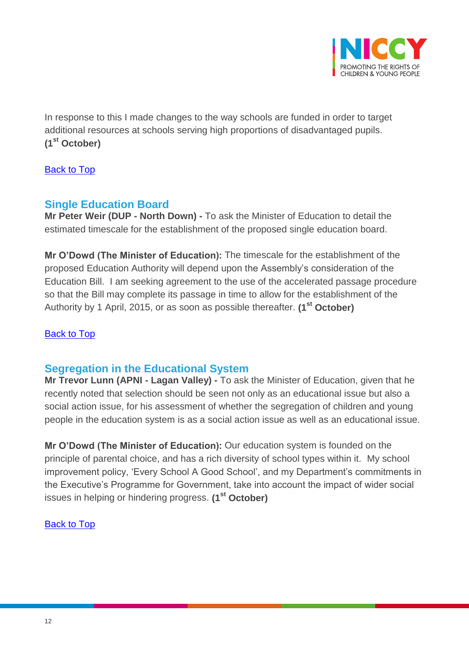

In response to this I made changes to the way schools are funded in order to target additional resources at schools serving high proportions of disadvantaged pupils. **(1st October)**

[Back to Top](#page-0-0)

## <span id="page-11-0"></span>**Single Education Board**

**Mr Peter Weir (DUP - North Down) -** To ask the Minister of Education to detail the estimated timescale for the establishment of the proposed single education board.

**Mr O'Dowd (The Minister of Education):** The timescale for the establishment of the proposed Education Authority will depend upon the Assembly's consideration of the Education Bill. I am seeking agreement to the use of the accelerated passage procedure so that the Bill may complete its passage in time to allow for the establishment of the Authority by 1 April, 2015, or as soon as possible thereafter. **(1st October)**

#### [Back to Top](#page-0-0)

## <span id="page-11-1"></span>**Segregation in the Educational System**

**Mr Trevor Lunn (APNI - Lagan Valley) -** To ask the Minister of Education, given that he recently noted that selection should be seen not only as an educational issue but also a social action issue, for his assessment of whether the segregation of children and young people in the education system is as a social action issue as well as an educational issue.

**Mr O'Dowd (The Minister of Education):** Our education system is founded on the principle of parental choice, and has a rich diversity of school types within it. My school improvement policy, 'Every School A Good School', and my Department's commitments in the Executive's Programme for Government, take into account the impact of wider social issues in helping or hindering progress. **(1st October)**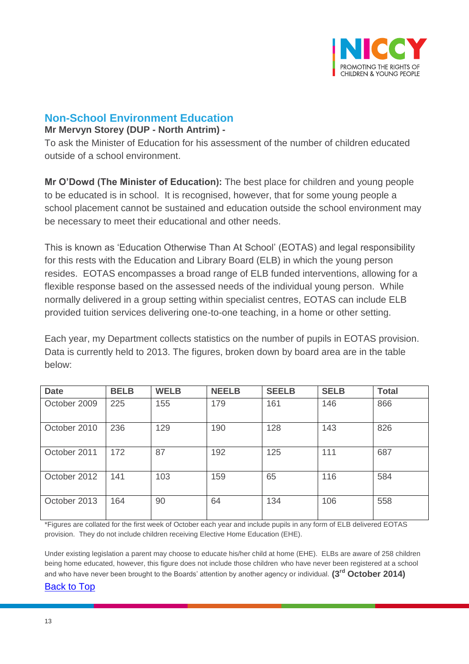

### <span id="page-12-0"></span>**Non-School Environment Education**

#### **Mr Mervyn Storey (DUP - North Antrim) -**

To ask the Minister of Education for his assessment of the number of children educated outside of a school environment.

**Mr O'Dowd (The Minister of Education):** The best place for children and young people to be educated is in school. It is recognised, however, that for some young people a school placement cannot be sustained and education outside the school environment may be necessary to meet their educational and other needs.

This is known as 'Education Otherwise Than At School' (EOTAS) and legal responsibility for this rests with the Education and Library Board (ELB) in which the young person resides. EOTAS encompasses a broad range of ELB funded interventions, allowing for a flexible response based on the assessed needs of the individual young person. While normally delivered in a group setting within specialist centres, EOTAS can include ELB provided tuition services delivering one-to-one teaching, in a home or other setting.

Each year, my Department collects statistics on the number of pupils in EOTAS provision. Data is currently held to 2013. The figures, broken down by board area are in the table below:

| <b>Date</b>  | <b>BELB</b> | <b>WELB</b> | <b>NEELB</b> | <b>SEELB</b> | <b>SELB</b> | <b>Total</b> |
|--------------|-------------|-------------|--------------|--------------|-------------|--------------|
| October 2009 | 225         | 155         | 179          | 161          | 146         | 866          |
| October 2010 | 236         | 129         | 190          | 128          | 143         | 826          |
| October 2011 | 172         | 87          | 192          | 125          | 111         | 687          |
| October 2012 | 141         | 103         | 159          | 65           | 116         | 584          |
| October 2013 | 164         | 90          | 64           | 134          | 106         | 558          |

\*Figures are collated for the first week of October each year and include pupils in any form of ELB delivered EOTAS provision. They do not include children receiving Elective Home Education (EHE).

Under existing legislation a parent may choose to educate his/her child at home (EHE). ELBs are aware of 258 children being home educated, however, this figure does not include those children who have never been registered at a school and who have never been brought to the Boards' attention by another agency or individual. **(3rd October 2014)**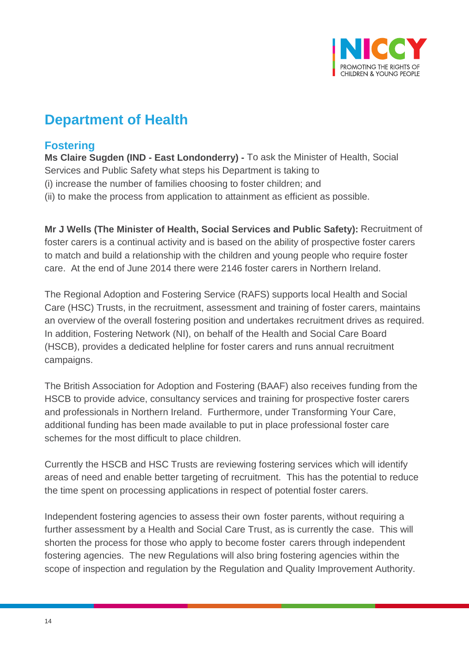

## **Department of Health**

## <span id="page-13-0"></span>**Fostering**

**Ms Claire Sugden (IND - East Londonderry) -** To ask the Minister of Health, Social Services and Public Safety what steps his Department is taking to (i) increase the number of families choosing to foster children; and (ii) to make the process from application to attainment as efficient as possible.

**Mr J Wells (The Minister of Health, Social Services and Public Safety):** Recruitment of foster carers is a continual activity and is based on the ability of prospective foster carers to match and build a relationship with the children and young people who require foster care. At the end of June 2014 there were 2146 foster carers in Northern Ireland.

The Regional Adoption and Fostering Service (RAFS) supports local Health and Social Care (HSC) Trusts, in the recruitment, assessment and training of foster carers, maintains an overview of the overall fostering position and undertakes recruitment drives as required. In addition, Fostering Network (NI), on behalf of the Health and Social Care Board (HSCB), provides a dedicated helpline for foster carers and runs annual recruitment campaigns.

The British Association for Adoption and Fostering (BAAF) also receives funding from the HSCB to provide advice, consultancy services and training for prospective foster carers and professionals in Northern Ireland. Furthermore, under Transforming Your Care, additional funding has been made available to put in place professional foster care schemes for the most difficult to place children.

Currently the HSCB and HSC Trusts are reviewing fostering services which will identify areas of need and enable better targeting of recruitment. This has the potential to reduce the time spent on processing applications in respect of potential foster carers.

Independent fostering agencies to assess their own foster parents, without requiring a further assessment by a Health and Social Care Trust, as is currently the case. This will shorten the process for those who apply to become foster carers through independent fostering agencies. The new Regulations will also bring fostering agencies within the scope of inspection and regulation by the Regulation and Quality Improvement Authority.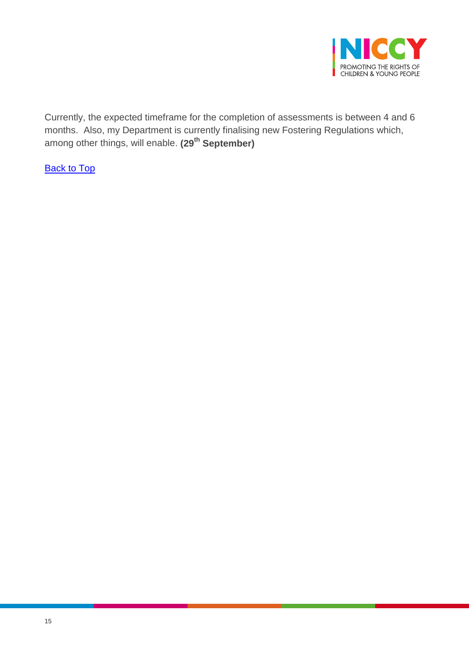

Currently, the expected timeframe for the completion of assessments is between 4 and 6 months. Also, my Department is currently finalising new Fostering Regulations which, among other things, will enable. **(29th September)**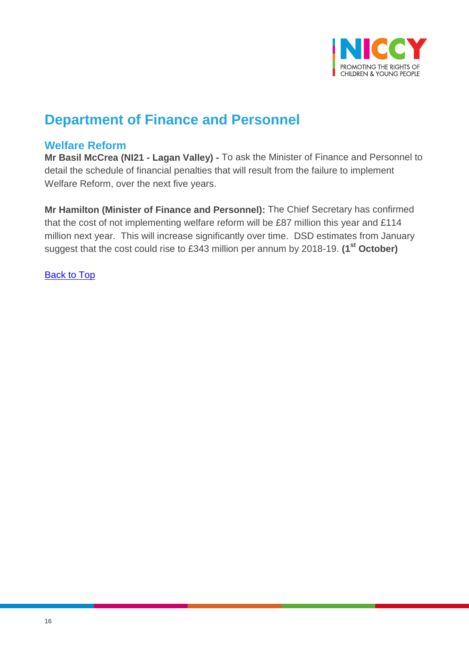

## **Department of Finance and Personnel**

### <span id="page-15-0"></span>**Welfare Reform**

**Mr Basil McCrea (NI21 - Lagan Valley) -** To ask the Minister of Finance and Personnel to detail the schedule of financial penalties that will result from the failure to implement Welfare Reform, over the next five years.

**Mr Hamilton (Minister of Finance and Personnel):** The Chief Secretary has confirmed that the cost of not implementing welfare reform will be £87 million this year and £114 million next year. This will increase significantly over time. DSD estimates from January suggest that the cost could rise to £343 million per annum by 2018-19. **(1st October)**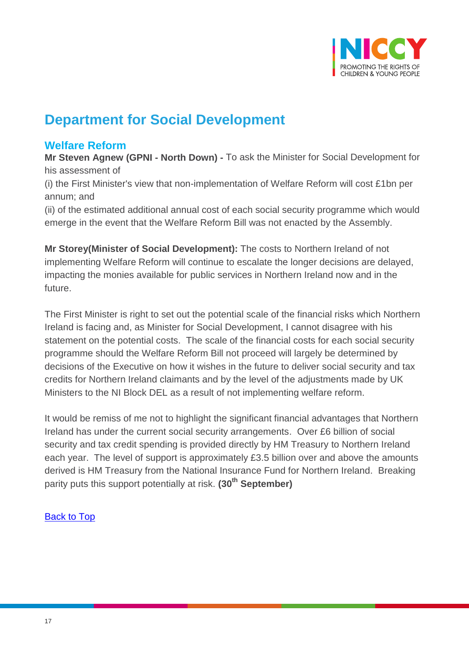

## **Department for Social Development**

## <span id="page-16-0"></span>**Welfare Reform**

**Mr Steven Agnew (GPNI - North Down) -** To ask the Minister for Social Development for his assessment of

(i) the First Minister's view that non-implementation of Welfare Reform will cost £1bn per annum; and

(ii) of the estimated additional annual cost of each social security programme which would emerge in the event that the Welfare Reform Bill was not enacted by the Assembly.

**Mr Storey(Minister of Social Development):** The costs to Northern Ireland of not implementing Welfare Reform will continue to escalate the longer decisions are delayed, impacting the monies available for public services in Northern Ireland now and in the future.

The First Minister is right to set out the potential scale of the financial risks which Northern Ireland is facing and, as Minister for Social Development, I cannot disagree with his statement on the potential costs. The scale of the financial costs for each social security programme should the Welfare Reform Bill not proceed will largely be determined by decisions of the Executive on how it wishes in the future to deliver social security and tax credits for Northern Ireland claimants and by the level of the adjustments made by UK Ministers to the NI Block DEL as a result of not implementing welfare reform.

It would be remiss of me not to highlight the significant financial advantages that Northern Ireland has under the current social security arrangements. Over £6 billion of social security and tax credit spending is provided directly by HM Treasury to Northern Ireland each year. The level of support is approximately £3.5 billion over and above the amounts derived is HM Treasury from the National Insurance Fund for Northern Ireland. Breaking parity puts this support potentially at risk. **(30th September)**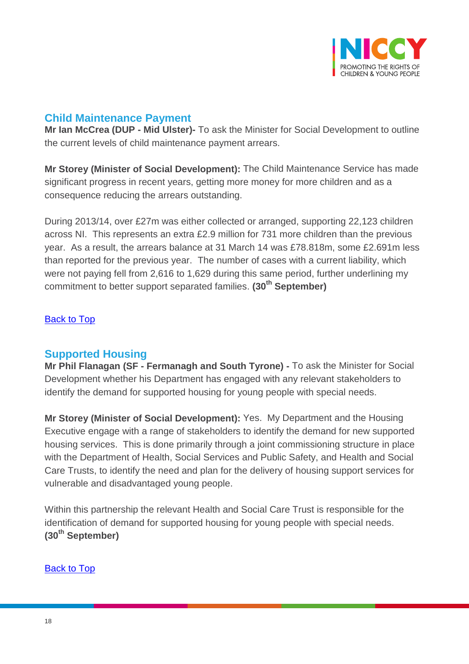

## <span id="page-17-0"></span>**Child Maintenance Payment**

**Mr Ian McCrea (DUP - Mid Ulster)-** To ask the Minister for Social Development to outline the current levels of child maintenance payment arrears.

**Mr Storey (Minister of Social Development):** The Child Maintenance Service has made significant progress in recent years, getting more money for more children and as a consequence reducing the arrears outstanding.

During 2013/14, over £27m was either collected or arranged, supporting 22,123 children across NI. This represents an extra £2.9 million for 731 more children than the previous year. As a result, the arrears balance at 31 March 14 was £78.818m, some £2.691m less than reported for the previous year. The number of cases with a current liability, which were not paying fell from 2,616 to 1,629 during this same period, further underlining my commitment to better support separated families. **(30th September)**

#### [Back to Top](#page-0-0)

## <span id="page-17-1"></span>**Supported Housing**

**Mr Phil Flanagan (SF - Fermanagh and South Tyrone) -** To ask the Minister for Social Development whether his Department has engaged with any relevant stakeholders to identify the demand for supported housing for young people with special needs.

**Mr Storey (Minister of Social Development):** Yes. My Department and the Housing Executive engage with a range of stakeholders to identify the demand for new supported housing services. This is done primarily through a joint commissioning structure in place with the Department of Health, Social Services and Public Safety, and Health and Social Care Trusts, to identify the need and plan for the delivery of housing support services for vulnerable and disadvantaged young people.

<span id="page-17-2"></span>Within this partnership the relevant Health and Social Care Trust is responsible for the identification of demand for supported housing for young people with special needs. **(30th September)**